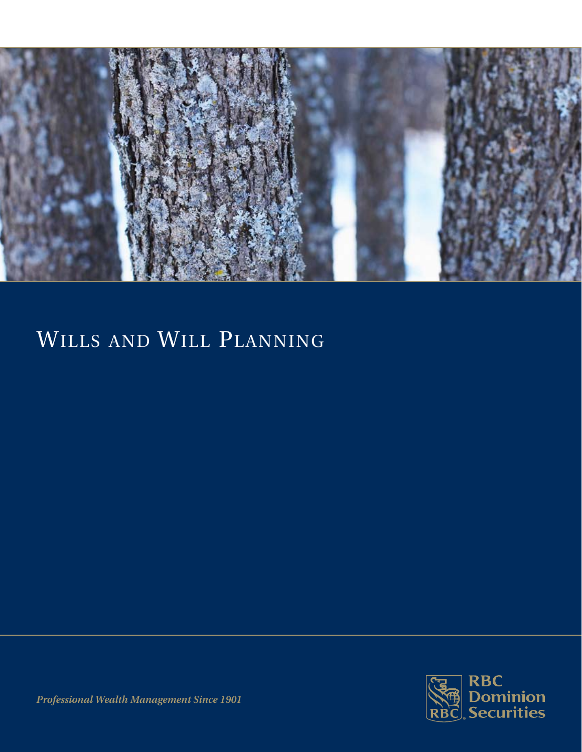

# Wills and Will Planning



*Professional Wealth Management Since 1901*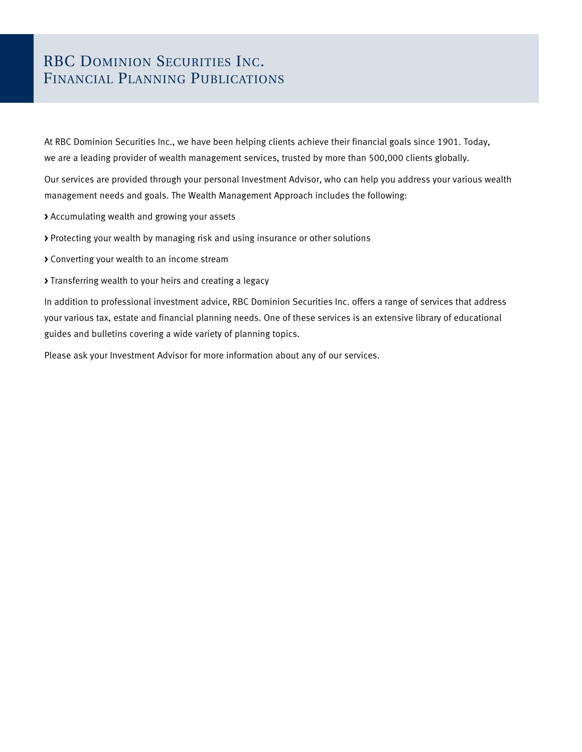### RBC DOMINION SECURITIES INC. Financial Planning Publications

At RBC Dominion Securities Inc., we have been helping clients achieve their financial goals since 1901. Today, we are a leading provider of wealth management services, trusted by more than 500,000 clients globally.

Our services are provided through your personal Investment Advisor, who can help you address your various wealth management needs and goals. The Wealth Management Approach includes the following:

- **>** Accumulating wealth and growing your assets
- **>** Protecting your wealth by managing risk and using insurance or other solutions
- **>** Converting your wealth to an income stream
- **>** Transferring wealth to your heirs and creating a legacy

In addition to professional investment advice, RBC Dominion Securities Inc. offers a range of services that address your various tax, estate and financial planning needs. One of these services is an extensive library of educational guides and bulletins covering a wide variety of planning topics.

Please ask your Investment Advisor for more information about any of our services.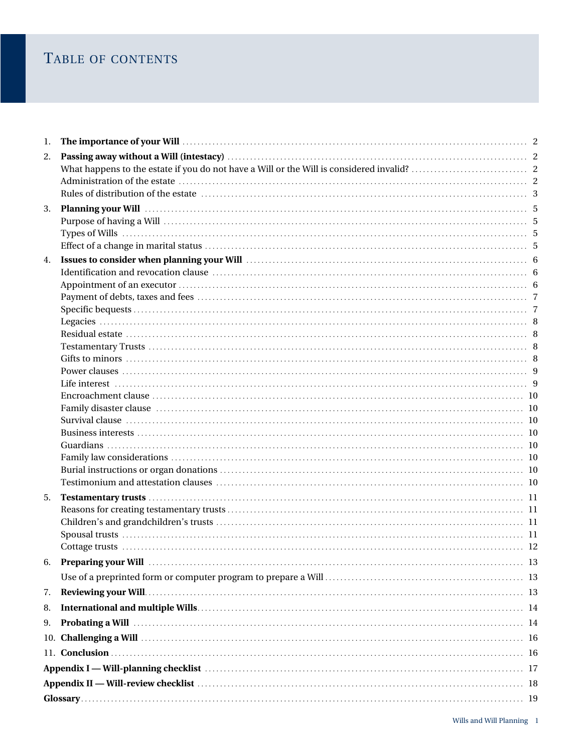### TABLE OF CONTENTS

| 1. |                                                                                                                                                                                                                                |  |
|----|--------------------------------------------------------------------------------------------------------------------------------------------------------------------------------------------------------------------------------|--|
| 2. |                                                                                                                                                                                                                                |  |
|    |                                                                                                                                                                                                                                |  |
|    |                                                                                                                                                                                                                                |  |
|    |                                                                                                                                                                                                                                |  |
| 3. | Planning your Will (1990) 1999 (1999) 1999 (1999) 1999 (1999) 1999 (1999) 1999 (1999) 1999 (1999) 1999 (1999) 1                                                                                                                |  |
|    |                                                                                                                                                                                                                                |  |
|    |                                                                                                                                                                                                                                |  |
|    |                                                                                                                                                                                                                                |  |
| 4. |                                                                                                                                                                                                                                |  |
|    |                                                                                                                                                                                                                                |  |
|    |                                                                                                                                                                                                                                |  |
|    |                                                                                                                                                                                                                                |  |
|    |                                                                                                                                                                                                                                |  |
|    |                                                                                                                                                                                                                                |  |
|    |                                                                                                                                                                                                                                |  |
|    |                                                                                                                                                                                                                                |  |
|    |                                                                                                                                                                                                                                |  |
|    |                                                                                                                                                                                                                                |  |
|    |                                                                                                                                                                                                                                |  |
|    |                                                                                                                                                                                                                                |  |
|    |                                                                                                                                                                                                                                |  |
|    |                                                                                                                                                                                                                                |  |
|    |                                                                                                                                                                                                                                |  |
|    |                                                                                                                                                                                                                                |  |
|    |                                                                                                                                                                                                                                |  |
|    |                                                                                                                                                                                                                                |  |
| 5. |                                                                                                                                                                                                                                |  |
|    |                                                                                                                                                                                                                                |  |
|    |                                                                                                                                                                                                                                |  |
|    |                                                                                                                                                                                                                                |  |
|    |                                                                                                                                                                                                                                |  |
| 6. | Preparing your Will Mathematic Mathematic Mathematic Mathematic Mathematic Mathematic Mathematic Mathematic Ma                                                                                                                 |  |
|    |                                                                                                                                                                                                                                |  |
| 7. |                                                                                                                                                                                                                                |  |
| 8. |                                                                                                                                                                                                                                |  |
| 9. |                                                                                                                                                                                                                                |  |
|    |                                                                                                                                                                                                                                |  |
|    |                                                                                                                                                                                                                                |  |
|    |                                                                                                                                                                                                                                |  |
|    |                                                                                                                                                                                                                                |  |
|    | Appendix II — Will-review checklist measured and the control of the control of the control of the control of the control of the control of the control of the control of the control of the control of the control of the cont |  |
|    |                                                                                                                                                                                                                                |  |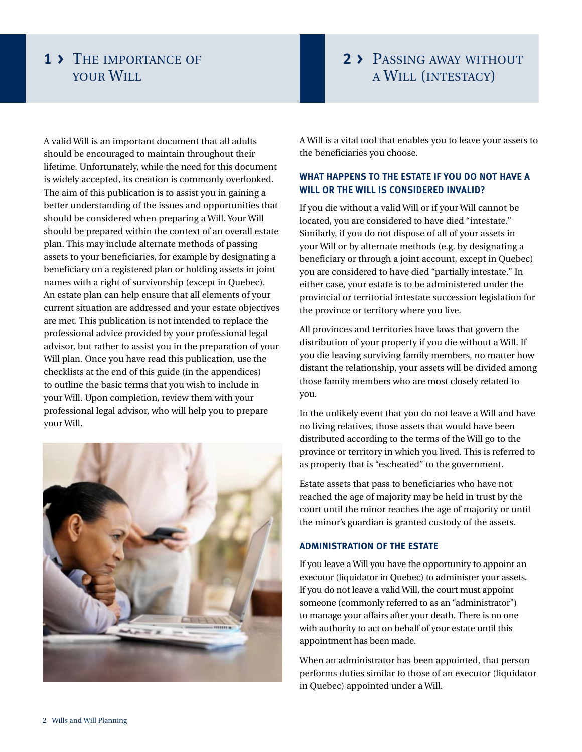### **1 >** The importance of YOUR WILL

### **2 >** Passing away without a Will (intestacy)

A valid Will is an important document that all adults should be encouraged to maintain throughout their lifetime. Unfortunately, while the need for this document is widely accepted, its creation is commonly overlooked. The aim of this publication is to assist you in gaining a better understanding of the issues and opportunities that should be considered when preparing a Will. Your Will should be prepared within the context of an overall estate plan. This may include alternate methods of passing assets to your beneficiaries, for example by designating a beneficiary on a registered plan or holding assets in joint names with a right of survivorship (except in Quebec). An estate plan can help ensure that all elements of your current situation are addressed and your estate objectives are met. This publication is not intended to replace the professional advice provided by your professional legal advisor, but rather to assist you in the preparation of your Will plan. Once you have read this publication, use the checklists at the end of this guide (in the appendices) to outline the basic terms that you wish to include in your Will. Upon completion, review them with your professional legal advisor, who will help you to prepare your Will.



A Will is a vital tool that enables you to leave your assets to the beneficiaries you choose.

### **What happens to the estate if you do not have a Will or the Will is considered invalid?**

If you die without a valid Will or if your Will cannot be located, you are considered to have died "intestate." Similarly, if you do not dispose of all of your assets in your Will or by alternate methods (e.g. by designating a beneficiary or through a joint account, except in Quebec) you are considered to have died "partially intestate." In either case, your estate is to be administered under the provincial or territorial intestate succession legislation for the province or territory where you live.

All provinces and territories have laws that govern the distribution of your property if you die without a Will. If you die leaving surviving family members, no matter how distant the relationship, your assets will be divided among those family members who are most closely related to you.

In the unlikely event that you do not leave a Will and have no living relatives, those assets that would have been distributed according to the terms of the Will go to the province or territory in which you lived. This is referred to as property that is "escheated" to the government.

Estate assets that pass to beneficiaries who have not reached the age of majority may be held in trust by the court until the minor reaches the age of majority or until the minor's guardian is granted custody of the assets.

#### **Administration of the estate**

If you leave a Will you have the opportunity to appoint an executor (liquidator in Quebec) to administer your assets. If you do not leave a valid Will, the court must appoint someone (commonly referred to as an "administrator") to manage your affairs after your death. There is no one with authority to act on behalf of your estate until this appointment has been made.

When an administrator has been appointed, that person performs duties similar to those of an executor (liquidator in Quebec) appointed under a Will.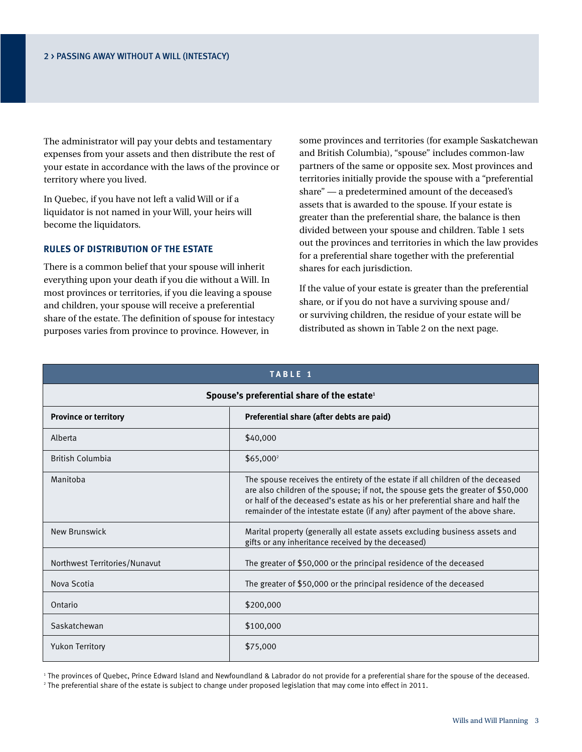The administrator will pay your debts and testamentary expenses from your assets and then distribute the rest of your estate in accordance with the laws of the province or territory where you lived.

In Quebec, if you have not left a valid Will or if a liquidator is not named in your Will, your heirs will become the liquidators.

#### **Rules of distribution of the estate**

There is a common belief that your spouse will inherit everything upon your death if you die without a Will. In most provinces or territories, if you die leaving a spouse and children, your spouse will receive a preferential share of the estate. The definition of spouse for intestacy purposes varies from province to province. However, in

some provinces and territories (for example Saskatchewan and British Columbia), "spouse" includes common-law partners of the same or opposite sex. Most provinces and territories initially provide the spouse with a "preferential share" — a predetermined amount of the deceased's assets that is awarded to the spouse. If your estate is greater than the preferential share, the balance is then divided between your spouse and children. Table 1 sets out the provinces and territories in which the law provides for a preferential share together with the preferential shares for each jurisdiction.

If the value of your estate is greater than the preferential share, or if you do not have a surviving spouse and/ or surviving children, the residue of your estate will be distributed as shown in Table 2 on the next page.

| TABLE 1                                                |                                                                                                                                                                                                                                                                                                                                      |  |  |  |
|--------------------------------------------------------|--------------------------------------------------------------------------------------------------------------------------------------------------------------------------------------------------------------------------------------------------------------------------------------------------------------------------------------|--|--|--|
| Spouse's preferential share of the estate <sup>1</sup> |                                                                                                                                                                                                                                                                                                                                      |  |  |  |
| <b>Province or territory</b>                           | Preferential share (after debts are paid)                                                                                                                                                                                                                                                                                            |  |  |  |
| Alberta                                                | \$40,000                                                                                                                                                                                                                                                                                                                             |  |  |  |
| <b>British Columbia</b>                                | \$65,000 <sup>2</sup>                                                                                                                                                                                                                                                                                                                |  |  |  |
| Manitoba                                               | The spouse receives the entirety of the estate if all children of the deceased<br>are also children of the spouse; if not, the spouse gets the greater of \$50,000<br>or half of the deceased's estate as his or her preferential share and half the<br>remainder of the intestate estate (if any) after payment of the above share. |  |  |  |
| New Brunswick                                          | Marital property (generally all estate assets excluding business assets and<br>gifts or any inheritance received by the deceased)                                                                                                                                                                                                    |  |  |  |
| Northwest Territories/Nunavut                          | The greater of \$50,000 or the principal residence of the deceased                                                                                                                                                                                                                                                                   |  |  |  |
| Nova Scotia                                            | The greater of \$50,000 or the principal residence of the deceased                                                                                                                                                                                                                                                                   |  |  |  |
| Ontario                                                | \$200,000                                                                                                                                                                                                                                                                                                                            |  |  |  |
| Saskatchewan                                           | \$100,000                                                                                                                                                                                                                                                                                                                            |  |  |  |
| <b>Yukon Territory</b>                                 | \$75,000                                                                                                                                                                                                                                                                                                                             |  |  |  |

1 The provinces of Quebec, Prince Edward Island and Newfoundland & Labrador do not provide for a preferential share for the spouse of the deceased. 2 The preferential share of the estate is subject to change under proposed legislation that may come into effect in 2011.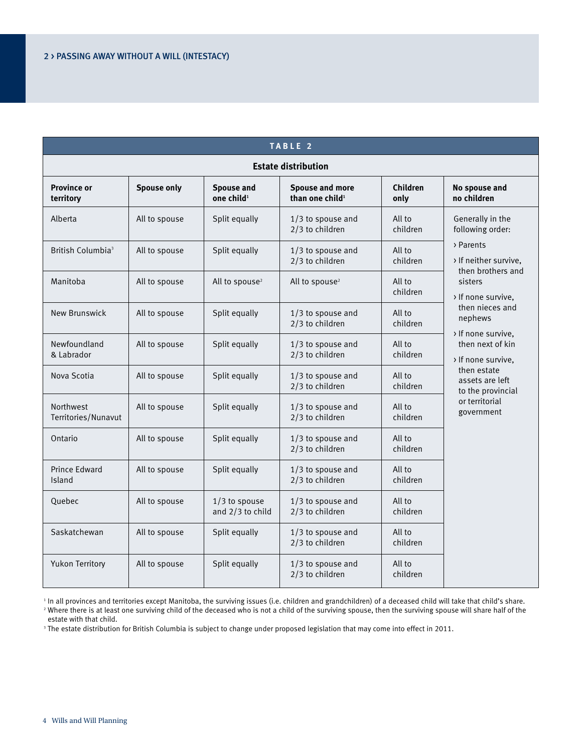#### **T able 2**

#### **Estate distribution** Province or Spouse only Spouse and Spouse and more Children No spouse and territory No spouse and territory only<br> **Province or Spouse and Spouse and Spouse and Territory** Children No spouse and than one child<sup>2</sup> and only n **territory one child1 than one child1 only no children** Alberta All to spouse Split equally  $\begin{array}{|c|c|c|c|c|c|} \hline \text{Alberta} & \text{All to }\end{array}$  All to spouse and All to spouse and All to spouse and All to spouse and All to spouse and All to spouse and All to spouse and All to spouse and  $2/3$  to children British Columbia<sup>3</sup> All to spouse Split equally 1/3 to spouse and All to  $2/3$  to children children Manitoba All to spouse All to spouse<sup>2</sup> All to spouse<sup>2</sup> All to spouse<sup>2</sup> All to children New Brunswick All to spouse Split equally 1/3 to spouse and All to 2/3 to children children Newfoundland All to spouse Split equally  $\begin{array}{|c|c|c|c|c|c|}\n\hline\n\text{8 Labrador} & \text{All to }\n\end{array}$  $2/3$  to children Nova Scotia  $\begin{array}{|c|c|c|c|c|c|c|c|} \hline \text{All to spouse} & \text{Split equally} & \text{1/3 to spouse and} & \text{All to} \ \hline \end{array}$  $2/3$  to children Northwest All to spouse Split equally 1/3 to spouse and All to Territories/Nunavut 1.1 to 2/3 to children children children children children children Ontario All to spouse Split equally 1/3 to spouse and All to 2/3 to children children Prince Edward All to spouse Split equally 1/3 to spouse and All to Island Children Children Children Children Children Children Children Children Children Quebec  $\begin{array}{|c|c|c|c|c|c|c|c|c|} \hline \text{All to spouse} & \text{1/3 to spouse} & \text{1/3 to spouse and} & \text{All to} \hline \end{array}$ and  $2/3$  to child  $\begin{vmatrix} 2/3 & 1 \end{vmatrix}$  children Saskatchewan All to spouse Split equally 1/3 to spouse and All to 2/3 to children children Yukon Territory All to spouse Split equally 1/3 to spouse and All to  $2/3$  to children children Generally in the following order: > Parents > If neither survive, then brothers and sisters > If none survive, then nieces and nephews > If none survive, then next of kin > If none survive, then estate assets are left to the provincial or territorial government

<sup>1</sup> In all provinces and territories except Manitoba, the surviving issues (i.e. children and grandchildren) of a deceased child will take that child's share.

<sup>2</sup> Where there is at least one surviving child of the deceased who is not a child of the surviving spouse, then the surviving spouse will share half of the estate with that child.

3 The estate distribution for British Columbia is subject to change under proposed legislation that may come into effect in 2011.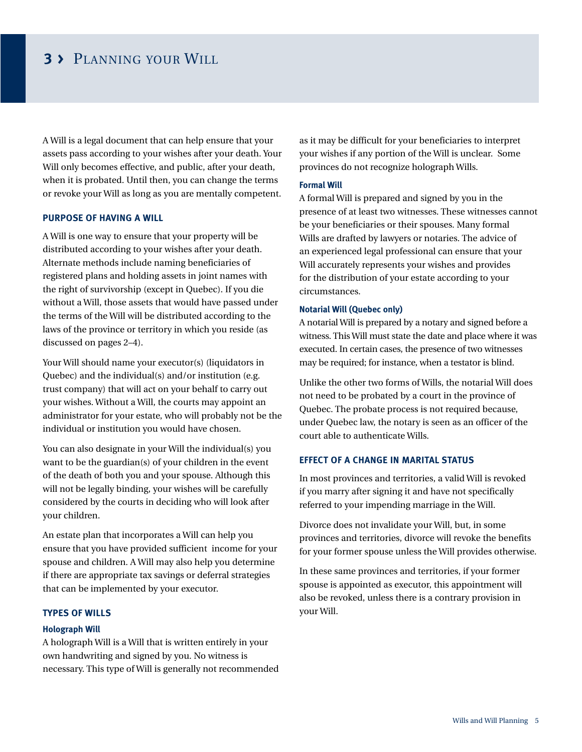### **3 >** Planning your Will

A Will is a legal document that can help ensure that your assets pass according to your wishes after your death. Your Will only becomes effective, and public, after your death, when it is probated. Until then, you can change the terms or revoke your Will as long as you are mentally competent.

#### **Purpose of having a Will**

A Will is one way to ensure that your property will be distributed according to your wishes after your death. Alternate methods include naming beneficiaries of registered plans and holding assets in joint names with the right of survivorship (except in Quebec). If you die without a Will, those assets that would have passed under the terms of the Will will be distributed according to the laws of the province or territory in which you reside (as discussed on pages 2–4).

Your Will should name your executor(s) (liquidators in Quebec) and the individual(s) and/or institution (e.g. trust company) that will act on your behalf to carry out your wishes. Without a Will, the courts may appoint an administrator for your estate, who will probably not be the individual or institution you would have chosen.

You can also designate in your Will the individual(s) you want to be the guardian(s) of your children in the event of the death of both you and your spouse. Although this will not be legally binding, your wishes will be carefully considered by the courts in deciding who will look after your children.

An estate plan that incorporates a Will can help you ensure that you have provided sufficient income for your spouse and children. A Will may also help you determine if there are appropriate tax savings or deferral strategies that can be implemented by your executor.

#### **Types of Wills**

#### **Holograph Will**

A holograph Will is a Will that is written entirely in your own handwriting and signed by you. No witness is necessary. This type of Will is generally not recommended as it may be difficult for your beneficiaries to interpret your wishes if any portion of the Will is unclear. Some provinces do not recognize holograph Wills.

#### **Formal Will**

A formal Will is prepared and signed by you in the presence of at least two witnesses. These witnesses cannot be your beneficiaries or their spouses. Many formal Wills are drafted by lawyers or notaries. The advice of an experienced legal professional can ensure that your Will accurately represents your wishes and provides for the distribution of your estate according to your circumstances.

#### **Notarial Will (Quebec only)**

A notarial Will is prepared by a notary and signed before a witness. This Will must state the date and place where it was executed. In certain cases, the presence of two witnesses may be required; for instance, when a testator is blind.

Unlike the other two forms of Wills, the notarial Will does not need to be probated by a court in the province of Quebec. The probate process is not required because, under Quebec law, the notary is seen as an officer of the court able to authenticate Wills.

#### **Effect of a change in marital status**

In most provinces and territories, a valid Will is revoked if you marry after signing it and have not specifically referred to your impending marriage in the Will.

Divorce does not invalidate your Will, but, in some provinces and territories, divorce will revoke the benefits for your former spouse unless the Will provides otherwise.

In these same provinces and territories, if your former spouse is appointed as executor, this appointment will also be revoked, unless there is a contrary provision in your Will.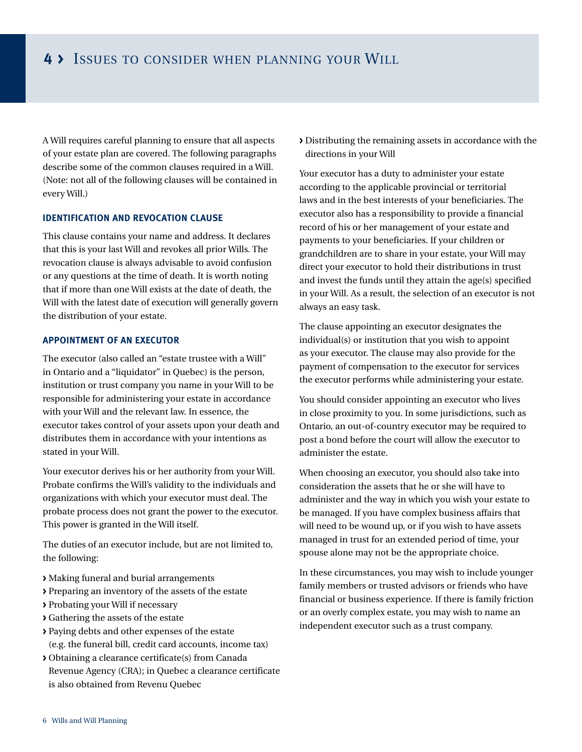A Will requires careful planning to ensure that all aspects of your estate plan are covered. The following paragraphs describe some of the common clauses required in a Will. (Note: not all of the following clauses will be contained in every Will.)

#### **Identification and revocation clause**

This clause contains your name and address. It declares that this is your last Will and revokes all prior Wills. The revocation clause is always advisable to avoid confusion or any questions at the time of death. It is worth noting that if more than one Will exists at the date of death, the Will with the latest date of execution will generally govern the distribution of your estate.

#### **Appointment of AN executor**

The executor (also called an "estate trustee with a Will" in Ontario and a "liquidator" in Quebec) is the person, institution or trust company you name in your Will to be responsible for administering your estate in accordance with your Will and the relevant law. In essence, the executor takes control of your assets upon your death and distributes them in accordance with your intentions as stated in your Will.

Your executor derives his or her authority from your Will. Probate confirms the Will's validity to the individuals and organizations with which your executor must deal. The probate process does not grant the power to the executor. This power is granted in the Will itself.

The duties of an executor include, but are not limited to, the following:

- **>** Making funeral and burial arrangements
- **>** Preparing an inventory of the assets of the estate
- **>** Probating your Will if necessary
- **>** Gathering the assets of the estate
- **>** Paying debts and other expenses of the estate (e.g. the funeral bill, credit card accounts, income tax)
- **>** Obtaining a clearance certificate(s) from Canada Revenue Agency (CRA); in Quebec a clearance certificate is also obtained from Revenu Quebec

**>** Distributing the remaining assets in accordance with the directions in your Will

Your executor has a duty to administer your estate according to the applicable provincial or territorial laws and in the best interests of your beneficiaries. The executor also has a responsibility to provide a financial record of his or her management of your estate and payments to your beneficiaries. If your children or grandchildren are to share in your estate, your Will may direct your executor to hold their distributions in trust and invest the funds until they attain the age(s) specified in your Will. As a result, the selection of an executor is not always an easy task.

The clause appointing an executor designates the individual(s) or institution that you wish to appoint as your executor. The clause may also provide for the payment of compensation to the executor for services the executor performs while administering your estate.

You should consider appointing an executor who lives in close proximity to you. In some jurisdictions, such as Ontario, an out-of-country executor may be required to post a bond before the court will allow the executor to administer the estate.

When choosing an executor, you should also take into consideration the assets that he or she will have to administer and the way in which you wish your estate to be managed. If you have complex business affairs that will need to be wound up, or if you wish to have assets managed in trust for an extended period of time, your spouse alone may not be the appropriate choice.

In these circumstances, you may wish to include younger family members or trusted advisors or friends who have financial or business experience. If there is family friction or an overly complex estate, you may wish to name an independent executor such as a trust company.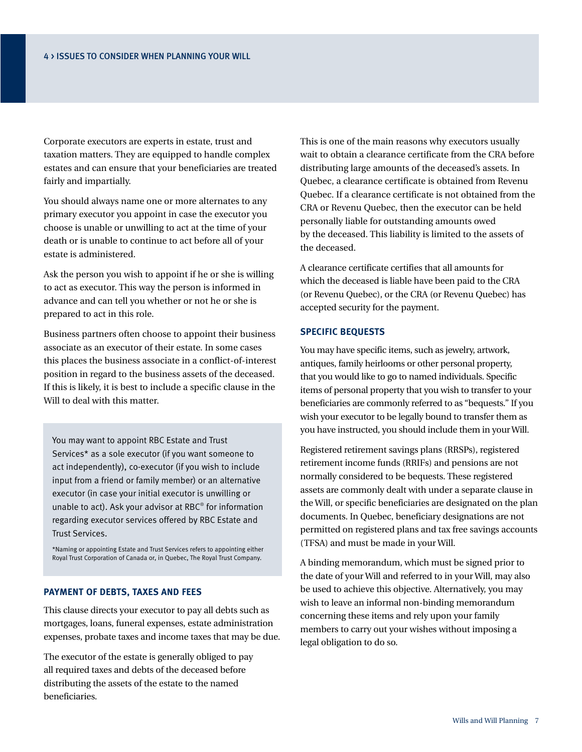Corporate executors are experts in estate, trust and taxation matters. They are equipped to handle complex estates and can ensure that your beneficiaries are treated fairly and impartially.

You should always name one or more alternates to any primary executor you appoint in case the executor you choose is unable or unwilling to act at the time of your death or is unable to continue to act before all of your estate is administered.

Ask the person you wish to appoint if he or she is willing to act as executor. This way the person is informed in advance and can tell you whether or not he or she is prepared to act in this role.

Business partners often choose to appoint their business associate as an executor of their estate. In some cases this places the business associate in a conflict-of-interest position in regard to the business assets of the deceased. If this is likely, it is best to include a specific clause in the Will to deal with this matter.

You may want to appoint RBC Estate and Trust Services\* as a sole executor (if you want someone to act independently), co-executor (if you wish to include input from a friend or family member) or an alternative executor (in case your initial executor is unwilling or unable to act). Ask your advisor at RBC® for information regarding executor services offered by RBC Estate and Trust Services.

\*Naming or appointing Estate and Trust Services refers to appointing either Royal Trust Corporation of Canada or, in Quebec, The Royal Trust Company.

#### **Payment of debts, taxes and fees**

This clause directs your executor to pay all debts such as mortgages, loans, funeral expenses, estate administration expenses, probate taxes and income taxes that may be due.

The executor of the estate is generally obliged to pay all required taxes and debts of the deceased before distributing the assets of the estate to the named beneficiaries.

This is one of the main reasons why executors usually wait to obtain a clearance certificate from the CRA before distributing large amounts of the deceased's assets. In Quebec, a clearance certificate is obtained from Revenu Quebec. If a clearance certificate is not obtained from the CRA or Revenu Quebec, then the executor can be held personally liable for outstanding amounts owed by the deceased. This liability is limited to the assets of the deceased.

A clearance certificate certifies that all amounts for which the deceased is liable have been paid to the CRA (or Revenu Quebec), or the CRA (or Revenu Quebec) has accepted security for the payment.

#### **Specific bequests**

You may have specific items, such as jewelry, artwork, antiques, family heirlooms or other personal property, that you would like to go to named individuals. Specific items of personal property that you wish to transfer to your beneficiaries are commonly referred to as "bequests." If you wish your executor to be legally bound to transfer them as you have instructed, you should include them in your Will.

Registered retirement savings plans (RRSPs), registered retirement income funds (RRIFs) and pensions are not normally considered to be bequests. These registered assets are commonly dealt with under a separate clause in the Will, or specific beneficiaries are designated on the plan documents. In Quebec, beneficiary designations are not permitted on registered plans and tax free savings accounts (TFSA) and must be made in your Will.

A binding memorandum, which must be signed prior to the date of your Will and referred to in your Will, may also be used to achieve this objective. Alternatively, you may wish to leave an informal non-binding memorandum concerning these items and rely upon your family members to carry out your wishes without imposing a legal obligation to do so.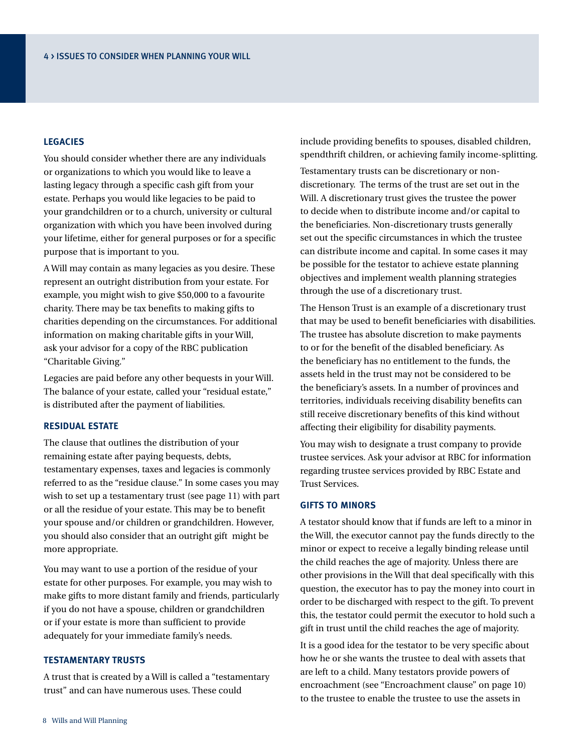#### **Legacies**

You should consider whether there are any individuals or organizations to which you would like to leave a lasting legacy through a specific cash gift from your estate. Perhaps you would like legacies to be paid to your grandchildren or to a church, university or cultural organization with which you have been involved during your lifetime, either for general purposes or for a specific purpose that is important to you.

A Will may contain as many legacies as you desire. These represent an outright distribution from your estate. For example, you might wish to give \$50,000 to a favourite charity. There may be tax benefits to making gifts to charities depending on the circumstances. For additional information on making charitable gifts in your Will, ask your advisor for a copy of the RBC publication "Charitable Giving."

Legacies are paid before any other bequests in your Will. The balance of your estate, called your "residual estate," is distributed after the payment of liabilities.

#### **Residual estate**

The clause that outlines the distribution of your remaining estate after paying bequests, debts, testamentary expenses, taxes and legacies is commonly referred to as the "residue clause." In some cases you may wish to set up a testamentary trust (see page 11) with part or all the residue of your estate. This may be to benefit your spouse and/or children or grandchildren. However, you should also consider that an outright gift might be more appropriate.

You may want to use a portion of the residue of your estate for other purposes. For example, you may wish to make gifts to more distant family and friends, particularly if you do not have a spouse, children or grandchildren or if your estate is more than sufficient to provide adequately for your immediate family's needs.

#### **Testamentary Trusts**

A trust that is created by a Will is called a "testamentary trust" and can have numerous uses. These could

include providing benefits to spouses, disabled children, spendthrift children, or achieving family income-splitting.

Testamentary trusts can be discretionary or nondiscretionary. The terms of the trust are set out in the Will. A discretionary trust gives the trustee the power to decide when to distribute income and/or capital to the beneficiaries. Non-discretionary trusts generally set out the specific circumstances in which the trustee can distribute income and capital. In some cases it may be possible for the testator to achieve estate planning objectives and implement wealth planning strategies through the use of a discretionary trust.

The Henson Trust is an example of a discretionary trust that may be used to benefit beneficiaries with disabilities. The trustee has absolute discretion to make payments to or for the benefit of the disabled beneficiary. As the beneficiary has no entitlement to the funds, the assets held in the trust may not be considered to be the beneficiary's assets. In a number of provinces and territories, individuals receiving disability benefits can still receive discretionary benefits of this kind without affecting their eligibility for disability payments.

You may wish to designate a trust company to provide trustee services. Ask your advisor at RBC for information regarding trustee services provided by RBC Estate and Trust Services.

#### **Gifts to minors**

A testator should know that if funds are left to a minor in the Will, the executor cannot pay the funds directly to the minor or expect to receive a legally binding release until the child reaches the age of majority. Unless there are other provisions in the Will that deal specifically with this question, the executor has to pay the money into court in order to be discharged with respect to the gift. To prevent this, the testator could permit the executor to hold such a gift in trust until the child reaches the age of majority.

It is a good idea for the testator to be very specific about how he or she wants the trustee to deal with assets that are left to a child. Many testators provide powers of encroachment (see "Encroachment clause" on page 10) to the trustee to enable the trustee to use the assets in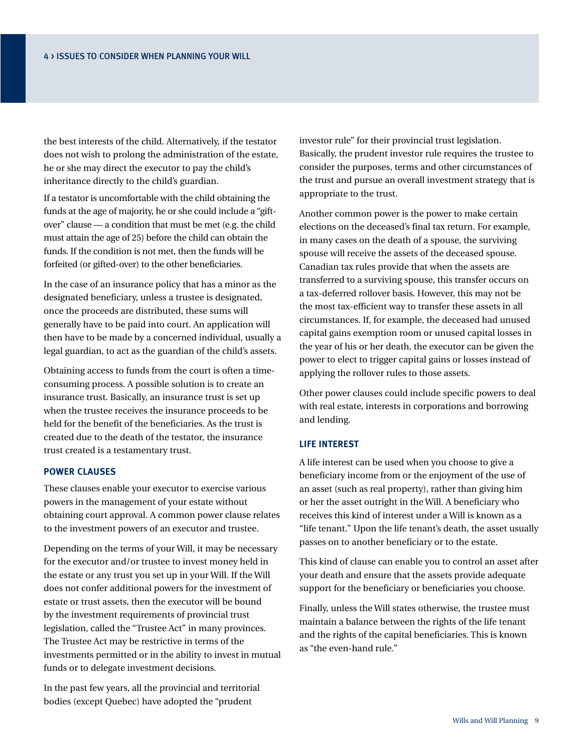the best interests of the child. Alternatively, if the testator does not wish to prolong the administration of the estate, he or she may direct the executor to pay the child's inheritance directly to the child's guardian.

If a testator is uncomfortable with the child obtaining the funds at the age of majority, he or she could include a "giftover" clause — a condition that must be met (e.g. the child must attain the age of 25) before the child can obtain the funds. If the condition is not met, then the funds will be forfeited (or gifted-over) to the other beneficiaries.

In the case of an insurance policy that has a minor as the designated beneficiary, unless a trustee is designated, once the proceeds are distributed, these sums will generally have to be paid into court. An application will then have to be made by a concerned individual, usually a legal guardian, to act as the guardian of the child's assets.

Obtaining access to funds from the court is often a timeconsuming process. A possible solution is to create an insurance trust. Basically, an insurance trust is set up when the trustee receives the insurance proceeds to be held for the benefit of the beneficiaries. As the trust is created due to the death of the testator, the insurance trust created is a testamentary trust.

#### **Power clauses**

These clauses enable your executor to exercise various powers in the management of your estate without obtaining court approval. A common power clause relates to the investment powers of an executor and trustee.

Depending on the terms of your Will, it may be necessary for the executor and/or trustee to invest money held in the estate or any trust you set up in your Will. If the Will does not confer additional powers for the investment of estate or trust assets, then the executor will be bound by the investment requirements of provincial trust legislation, called the "Trustee Act" in many provinces. The Trustee Act may be restrictive in terms of the investments permitted or in the ability to invest in mutual funds or to delegate investment decisions.

In the past few years, all the provincial and territorial bodies (except Quebec) have adopted the "prudent

investor rule" for their provincial trust legislation. Basically, the prudent investor rule requires the trustee to consider the purposes, terms and other circumstances of the trust and pursue an overall investment strategy that is appropriate to the trust.

Another common power is the power to make certain elections on the deceased's final tax return. For example, in many cases on the death of a spouse, the surviving spouse will receive the assets of the deceased spouse. Canadian tax rules provide that when the assets are transferred to a surviving spouse, this transfer occurs on a tax-deferred rollover basis. However, this may not be the most tax-efficient way to transfer these assets in all circumstances. If, for example, the deceased had unused capital gains exemption room or unused capital losses in the year of his or her death, the executor can be given the power to elect to trigger capital gains or losses instead of applying the rollover rules to those assets.

Other power clauses could include specific powers to deal with real estate, interests in corporations and borrowing and lending.

#### **Life interest**

A life interest can be used when you choose to give a beneficiary income from or the enjoyment of the use of an asset (such as real property), rather than giving him or her the asset outright in the Will. A beneficiary who receives this kind of interest under a Will is known as a "life tenant." Upon the life tenant's death, the asset usually passes on to another beneficiary or to the estate.

This kind of clause can enable you to control an asset after your death and ensure that the assets provide adequate support for the beneficiary or beneficiaries you choose.

Finally, unless the Will states otherwise, the trustee must maintain a balance between the rights of the life tenant and the rights of the capital beneficiaries. This is known as "the even-hand rule."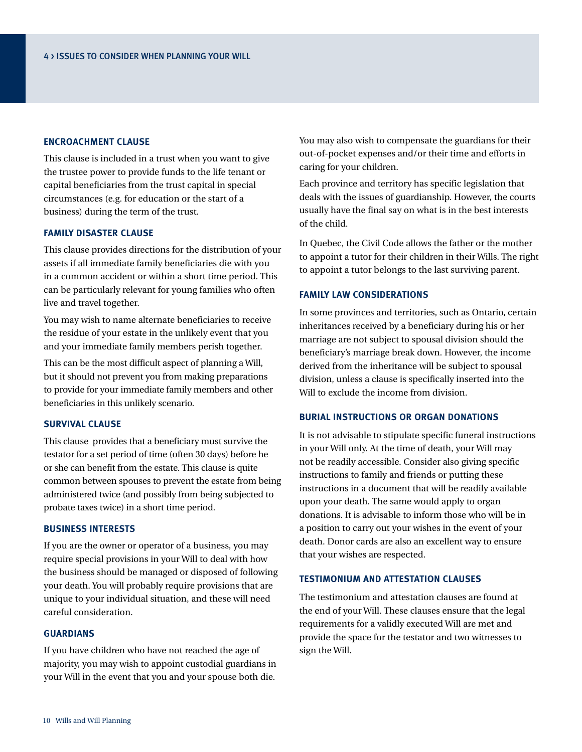#### **Encroachment clause**

This clause is included in a trust when you want to give the trustee power to provide funds to the life tenant or capital beneficiaries from the trust capital in special circumstances (e.g. for education or the start of a business) during the term of the trust.

#### **Family disaster clause**

This clause provides directions for the distribution of your assets if all immediate family beneficiaries die with you in a common accident or within a short time period. This can be particularly relevant for young families who often live and travel together.

You may wish to name alternate beneficiaries to receive the residue of your estate in the unlikely event that you and your immediate family members perish together.

This can be the most difficult aspect of planning a Will, but it should not prevent you from making preparations to provide for your immediate family members and other beneficiaries in this unlikely scenario.

#### **Survival clause**

This clause provides that a beneficiary must survive the testator for a set period of time (often 30 days) before he or she can benefit from the estate. This clause is quite common between spouses to prevent the estate from being administered twice (and possibly from being subjected to probate taxes twice) in a short time period.

#### **Business interests**

If you are the owner or operator of a business, you may require special provisions in your Will to deal with how the business should be managed or disposed of following your death. You will probably require provisions that are unique to your individual situation, and these will need careful consideration.

#### **Guardians**

If you have children who have not reached the age of majority, you may wish to appoint custodial guardians in your Will in the event that you and your spouse both die.

You may also wish to compensate the guardians for their out-of-pocket expenses and/or their time and efforts in caring for your children.

Each province and territory has specific legislation that deals with the issues of guardianship. However, the courts usually have the final say on what is in the best interests of the child.

In Quebec, the Civil Code allows the father or the mother to appoint a tutor for their children in their Wills. The right to appoint a tutor belongs to the last surviving parent.

#### **Family law considerations**

In some provinces and territories, such as Ontario, certain inheritances received by a beneficiary during his or her marriage are not subject to spousal division should the beneficiary's marriage break down. However, the income derived from the inheritance will be subject to spousal division, unless a clause is specifically inserted into the Will to exclude the income from division.

#### **Burial instructions or organ donations**

It is not advisable to stipulate specific funeral instructions in your Will only. At the time of death, your Will may not be readily accessible. Consider also giving specific instructions to family and friends or putting these instructions in a document that will be readily available upon your death. The same would apply to organ donations. It is advisable to inform those who will be in a position to carry out your wishes in the event of your death. Donor cards are also an excellent way to ensure that your wishes are respected.

#### **Testimonium and attestation clauses**

The testimonium and attestation clauses are found at the end of your Will. These clauses ensure that the legal requirements for a validly executed Will are met and provide the space for the testator and two witnesses to sign the Will.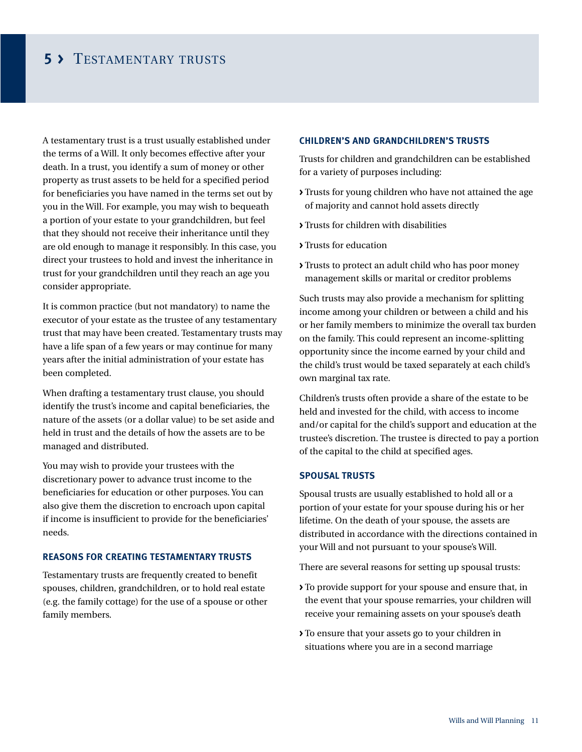### **5 >** Testamentary trusts

A testamentary trust is a trust usually established under the terms of a Will. It only becomes effective after your death. In a trust, you identify a sum of money or other property as trust assets to be held for a specified period for beneficiaries you have named in the terms set out by you in the Will. For example, you may wish to bequeath a portion of your estate to your grandchildren, but feel that they should not receive their inheritance until they are old enough to manage it responsibly. In this case, you direct your trustees to hold and invest the inheritance in trust for your grandchildren until they reach an age you consider appropriate.

It is common practice (but not mandatory) to name the executor of your estate as the trustee of any testamentary trust that may have been created. Testamentary trusts may have a life span of a few years or may continue for many years after the initial administration of your estate has been completed.

When drafting a testamentary trust clause, you should identify the trust's income and capital beneficiaries, the nature of the assets (or a dollar value) to be set aside and held in trust and the details of how the assets are to be managed and distributed.

You may wish to provide your trustees with the discretionary power to advance trust income to the beneficiaries for education or other purposes. You can also give them the discretion to encroach upon capital if income is insufficient to provide for the beneficiaries' needs.

#### **Reasons for creating testamentary trusts**

Testamentary trusts are frequently created to benefit spouses, children, grandchildren, or to hold real estate (e.g. the family cottage) for the use of a spouse or other family members.

#### **Children's and grandchildren's trusts**

Trusts for children and grandchildren can be established for a variety of purposes including:

- **>** Trusts for young children who have not attained the age of majority and cannot hold assets directly
- **>** Trusts for children with disabilities
- **>** Trusts for education
- **>** Trusts to protect an adult child who has poor money management skills or marital or creditor problems

Such trusts may also provide a mechanism for splitting income among your children or between a child and his or her family members to minimize the overall tax burden on the family. This could represent an income-splitting opportunity since the income earned by your child and the child's trust would be taxed separately at each child's own marginal tax rate.

Children's trusts often provide a share of the estate to be held and invested for the child, with access to income and/or capital for the child's support and education at the trustee's discretion. The trustee is directed to pay a portion of the capital to the child at specified ages.

#### **Spousal trusts**

Spousal trusts are usually established to hold all or a portion of your estate for your spouse during his or her lifetime. On the death of your spouse, the assets are distributed in accordance with the directions contained in your Will and not pursuant to your spouse's Will.

There are several reasons for setting up spousal trusts:

- **>** To provide support for your spouse and ensure that, in the event that your spouse remarries, your children will receive your remaining assets on your spouse's death
- **>** To ensure that your assets go to your children in situations where you are in a second marriage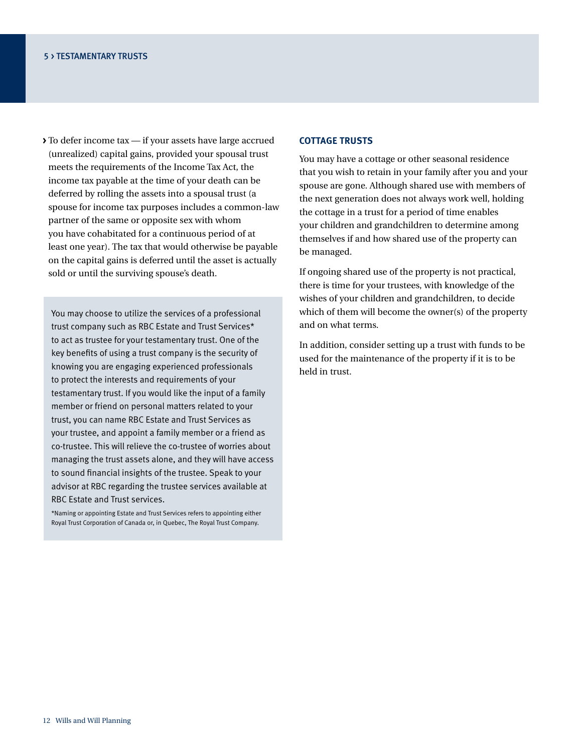**>** To defer income tax — if your assets have large accrued (unrealized) capital gains, provided your spousal trust meets the requirements of the Income Tax Act, the income tax payable at the time of your death can be deferred by rolling the assets into a spousal trust (a spouse for income tax purposes includes a common-law partner of the same or opposite sex with whom you have cohabitated for a continuous period of at least one year). The tax that would otherwise be payable on the capital gains is deferred until the asset is actually sold or until the surviving spouse's death.

You may choose to utilize the services of a professional trust company such as RBC Estate and Trust Services\* to act as trustee for your testamentary trust. One of the key benefits of using a trust company is the security of knowing you are engaging experienced professionals to protect the interests and requirements of your testamentary trust. If you would like the input of a family member or friend on personal matters related to your trust, you can name RBC Estate and Trust Services as your trustee, and appoint a family member or a friend as co-trustee. This will relieve the co-trustee of worries about managing the trust assets alone, and they will have access to sound financial insights of the trustee. Speak to your advisor at RBC regarding the trustee services available at RBC Estate and Trust services.

\*Naming or appointing Estate and Trust Services refers to appointing either Royal Trust Corporation of Canada or, in Quebec, The Royal Trust Company.

#### **Cottage trusts**

You may have a cottage or other seasonal residence that you wish to retain in your family after you and your spouse are gone. Although shared use with members of the next generation does not always work well, holding the cottage in a trust for a period of time enables your children and grandchildren to determine among themselves if and how shared use of the property can be managed.

If ongoing shared use of the property is not practical, there is time for your trustees, with knowledge of the wishes of your children and grandchildren, to decide which of them will become the owner(s) of the property and on what terms.

In addition, consider setting up a trust with funds to be used for the maintenance of the property if it is to be held in trust.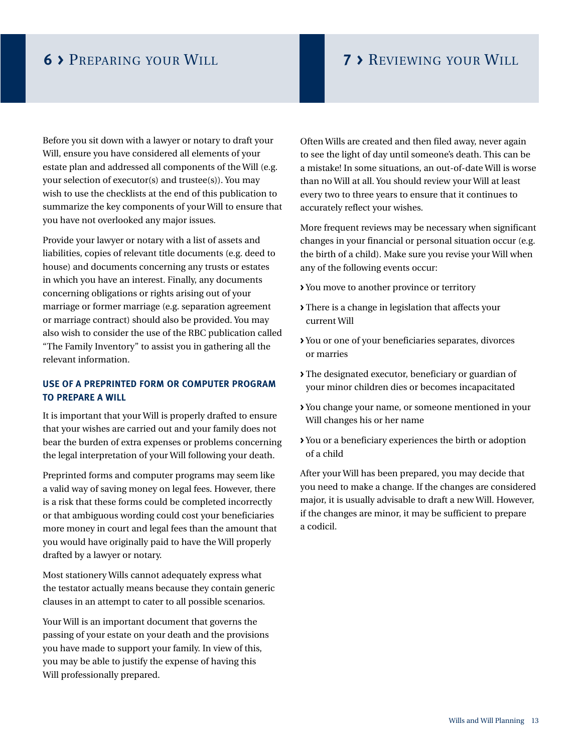### **6 >** Preparing your Will **7 >** Reviewing your Will

Before you sit down with a lawyer or notary to draft your Will, ensure you have considered all elements of your estate plan and addressed all components of the Will (e.g. your selection of executor(s) and trustee(s)). You may wish to use the checklists at the end of this publication to summarize the key components of your Will to ensure that you have not overlooked any major issues.

Provide your lawyer or notary with a list of assets and liabilities, copies of relevant title documents (e.g. deed to house) and documents concerning any trusts or estates in which you have an interest. Finally, any documents concerning obligations or rights arising out of your marriage or former marriage (e.g. separation agreement or marriage contract) should also be provided. You may also wish to consider the use of the RBC publication called "The Family Inventory" to assist you in gathering all the relevant information.

### **Use of a preprinted form or computer program to prepare a Will**

It is important that your Will is properly drafted to ensure that your wishes are carried out and your family does not bear the burden of extra expenses or problems concerning the legal interpretation of your Will following your death.

Preprinted forms and computer programs may seem like a valid way of saving money on legal fees. However, there is a risk that these forms could be completed incorrectly or that ambiguous wording could cost your beneficiaries more money in court and legal fees than the amount that you would have originally paid to have the Will properly drafted by a lawyer or notary.

Most stationery Wills cannot adequately express what the testator actually means because they contain generic clauses in an attempt to cater to all possible scenarios.

Your Will is an important document that governs the passing of your estate on your death and the provisions you have made to support your family. In view of this, you may be able to justify the expense of having this Will professionally prepared.

Often Wills are created and then filed away, never again to see the light of day until someone's death. This can be a mistake! In some situations, an out-of-date Will is worse than no Will at all. You should review your Will at least every two to three years to ensure that it continues to accurately reflect your wishes.

More frequent reviews may be necessary when significant changes in your financial or personal situation occur (e.g. the birth of a child). Make sure you revise your Will when any of the following events occur:

- **>** You move to another province or territory
- **>** There is a change in legislation that affects your current Will
- **>** You or one of your beneficiaries separates, divorces or marries
- **>** The designated executor, beneficiary or guardian of your minor children dies or becomes incapacitated
- **>** You change your name, or someone mentioned in your Will changes his or her name
- **>** You or a beneficiary experiences the birth or adoption of a child

After your Will has been prepared, you may decide that you need to make a change. If the changes are considered major, it is usually advisable to draft a new Will. However, if the changes are minor, it may be sufficient to prepare a codicil.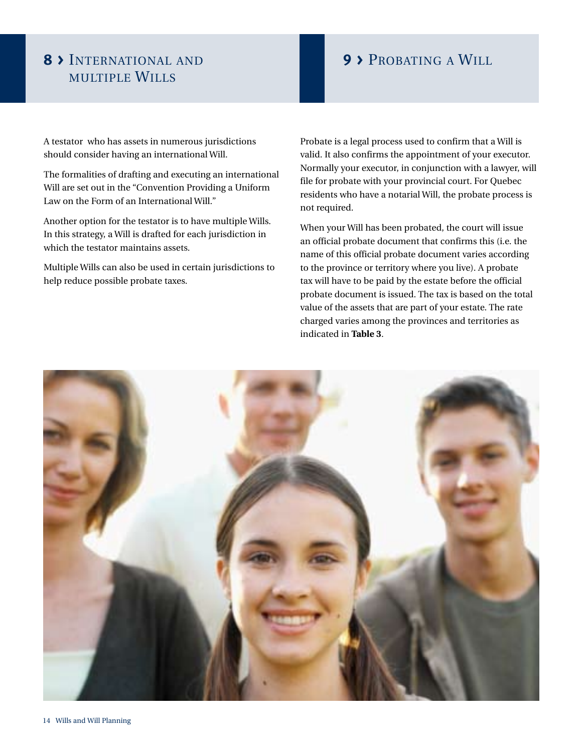### **8 >** International and **9 >** Probating a Will multiple Wills

A testator who has assets in numerous jurisdictions should consider having an international Will.

The formalities of drafting and executing an international Will are set out in the "Convention Providing a Uniform Law on the Form of an International Will."

Another option for the testator is to have multiple Wills. In this strategy, a Will is drafted for each jurisdiction in which the testator maintains assets.

Multiple Wills can also be used in certain jurisdictions to help reduce possible probate taxes.

Probate is a legal process used to confirm that a Will is valid. It also confirms the appointment of your executor. Normally your executor, in conjunction with a lawyer, will file for probate with your provincial court. For Quebec residents who have a notarial Will, the probate process is not required.

When your Will has been probated, the court will issue an official probate document that confirms this (i.e. the name of this official probate document varies according to the province or territory where you live). A probate tax will have to be paid by the estate before the official probate document is issued. The tax is based on the total value of the assets that are part of your estate. The rate charged varies among the provinces and territories as indicated in **Table 3**.

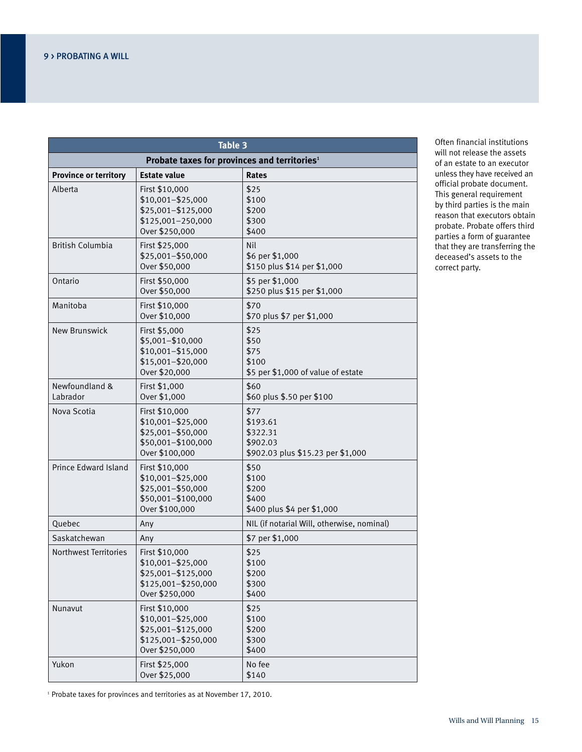| Table 3                                                  |                                                                                                    |                                                                               |  |  |  |
|----------------------------------------------------------|----------------------------------------------------------------------------------------------------|-------------------------------------------------------------------------------|--|--|--|
| Probate taxes for provinces and territories <sup>1</sup> |                                                                                                    |                                                                               |  |  |  |
| <b>Province or territory</b>                             | <b>Estate value</b>                                                                                | <b>Rates</b>                                                                  |  |  |  |
| Alberta                                                  | First \$10,000<br>$$10,001 - $25,000$<br>\$25,001-\$125,000<br>\$125,001-250,000<br>Over \$250,000 | \$25<br>\$100<br>\$200<br>\$300<br>\$400                                      |  |  |  |
| <b>British Columbia</b>                                  | First \$25,000<br>\$25,001-\$50,000<br>Over \$50,000                                               | Nil<br>\$6 per \$1,000<br>\$150 plus \$14 per \$1,000                         |  |  |  |
| Ontario                                                  | First \$50,000<br>Over \$50,000                                                                    | \$5 per \$1,000<br>\$250 plus \$15 per \$1,000                                |  |  |  |
| Manitoba                                                 | First \$10,000<br>Over \$10,000                                                                    | \$70<br>\$70 plus \$7 per \$1,000                                             |  |  |  |
| New Brunswick                                            | First \$5,000<br>\$5,001-\$10,000<br>$$10,001 - $15,000$<br>\$15,001-\$20,000<br>Over \$20,000     | \$25<br>\$50<br>\$75<br>\$100<br>\$5 per \$1,000 of value of estate           |  |  |  |
| Newfoundland &<br>Labrador                               | First \$1,000<br>Over \$1,000                                                                      | \$60<br>\$60 plus \$.50 per \$100                                             |  |  |  |
| Nova Scotia                                              | First \$10,000<br>\$10,001-\$25,000<br>\$25,001-\$50,000<br>\$50,001-\$100,000<br>Over \$100,000   | \$77<br>\$193.61<br>\$322.31<br>\$902.03<br>\$902.03 plus \$15.23 per \$1,000 |  |  |  |
| Prince Edward Island                                     | First \$10,000<br>\$10,001-\$25,000<br>\$25,001-\$50,000<br>\$50,001-\$100,000<br>Over \$100,000   | \$50<br>\$100<br>\$200<br>\$400<br>\$400 plus \$4 per \$1,000                 |  |  |  |
| Quebec                                                   | Any                                                                                                | NIL (if notarial Will, otherwise, nominal)                                    |  |  |  |
| Saskatchewan                                             | Any                                                                                                | \$7 per \$1,000                                                               |  |  |  |
| <b>Northwest Territories</b>                             | First \$10,000<br>\$10,001-\$25,000<br>\$25,001-\$125,000<br>\$125,001-\$250,000<br>Over \$250,000 | \$25<br>\$100<br>\$200<br>\$300<br>\$400                                      |  |  |  |
| Nunavut                                                  | First \$10,000<br>\$10,001-\$25,000<br>\$25,001-\$125,000<br>\$125,001-\$250,000<br>Over \$250,000 | \$25<br>\$100<br>\$200<br>\$300<br>\$400                                      |  |  |  |
| Yukon                                                    | First \$25,000<br>Over \$25,000                                                                    | No fee<br>\$140                                                               |  |  |  |

Often financial institutions will not release the assets of an estate to an executor unless they have received an official probate document. This general requirement by third parties is the main reason that executors obtain probate. Probate offers third parties a form of guarantee that they are transferring the deceased's assets to the correct party.

<sup>1</sup> Probate taxes for provinces and territories as at November 17, 2010.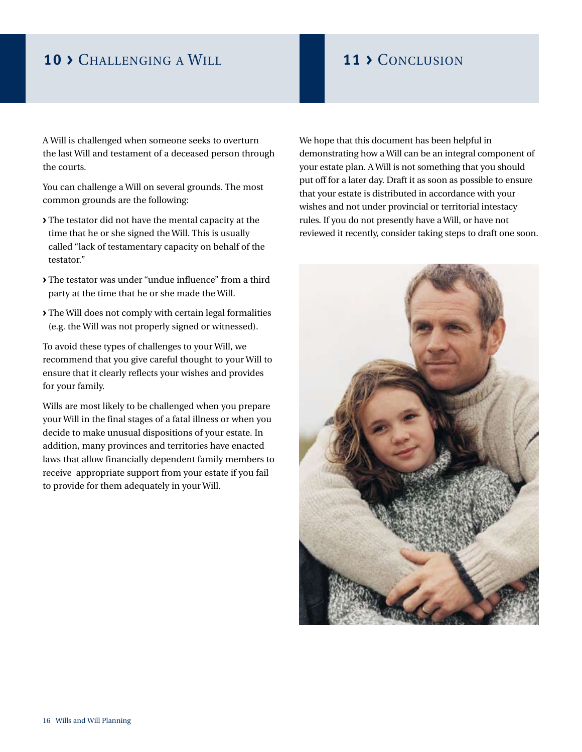### **10 >** Challenging a Will **11 >** Conclusion

A Will is challenged when someone seeks to overturn the last Will and testament of a deceased person through the courts.

You can challenge a Will on several grounds. The most common grounds are the following:

- **>** The testator did not have the mental capacity at the time that he or she signed the Will. This is usually called "lack of testamentary capacity on behalf of the testator."
- **>** The testator was under "undue influence" from a third party at the time that he or she made the Will.
- **>** The Will does not comply with certain legal formalities (e.g. the Will was not properly signed or witnessed).

To avoid these types of challenges to your Will, we recommend that you give careful thought to your Will to ensure that it clearly reflects your wishes and provides for your family.

Wills are most likely to be challenged when you prepare your Will in the final stages of a fatal illness or when you decide to make unusual dispositions of your estate. In addition, many provinces and territories have enacted laws that allow financially dependent family members to receive appropriate support from your estate if you fail to provide for them adequately in your Will.

We hope that this document has been helpful in demonstrating how a Will can be an integral component of your estate plan. A Will is not something that you should put off for a later day. Draft it as soon as possible to ensure that your estate is distributed in accordance with your wishes and not under provincial or territorial intestacy rules. If you do not presently have a Will, or have not reviewed it recently, consider taking steps to draft one soon.

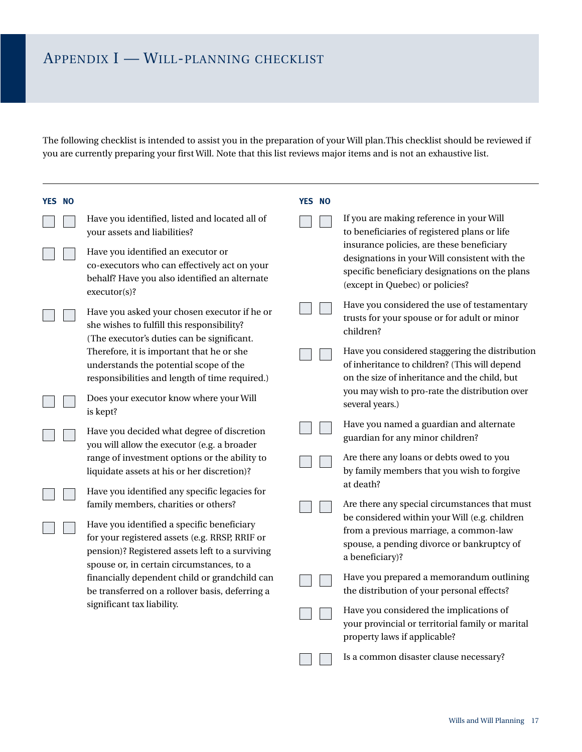The following checklist is intended to assist you in the preparation of your Will plan.This checklist should be reviewed if you are currently preparing your first Will. Note that this list reviews major items and is not an exhaustive list.

| <b>YES NO</b> |                                                                                                                                                                                                                                      | <b>YES NO</b> |                                                                                                                                                                                                           |
|---------------|--------------------------------------------------------------------------------------------------------------------------------------------------------------------------------------------------------------------------------------|---------------|-----------------------------------------------------------------------------------------------------------------------------------------------------------------------------------------------------------|
|               | Have you identified, listed and located all of<br>your assets and liabilities?                                                                                                                                                       |               | If you are making reference in your Will<br>to beneficiaries of registered plans or life                                                                                                                  |
|               | Have you identified an executor or<br>co-executors who can effectively act on your<br>behalf? Have you also identified an alternate<br>executor(s)?                                                                                  |               | insurance policies, are these beneficiary<br>designations in your Will consistent with the<br>specific beneficiary designations on the plans<br>(except in Quebec) or policies?                           |
|               | Have you asked your chosen executor if he or<br>she wishes to fulfill this responsibility?<br>(The executor's duties can be significant.                                                                                             |               | Have you considered the use of testamentary<br>trusts for your spouse or for adult or minor<br>children?                                                                                                  |
|               | Therefore, it is important that he or she<br>understands the potential scope of the<br>responsibilities and length of time required.)                                                                                                |               | Have you considered staggering the distribution<br>of inheritance to children? (This will depend<br>on the size of inheritance and the child, but                                                         |
|               | Does your executor know where your Will<br>is kept?                                                                                                                                                                                  |               | you may wish to pro-rate the distribution over<br>several years.)                                                                                                                                         |
|               | Have you decided what degree of discretion<br>you will allow the executor (e.g. a broader                                                                                                                                            |               | Have you named a guardian and alternate<br>guardian for any minor children?                                                                                                                               |
|               | range of investment options or the ability to<br>liquidate assets at his or her discretion)?<br>Have you identified any specific legacies for                                                                                        |               | Are there any loans or debts owed to you<br>by family members that you wish to forgive<br>at death?                                                                                                       |
|               | family members, charities or others?<br>Have you identified a specific beneficiary<br>for your registered assets (e.g. RRSP, RRIF or<br>pension)? Registered assets left to a surviving<br>spouse or, in certain circumstances, to a |               | Are there any special circumstances that must<br>be considered within your Will (e.g. children<br>from a previous marriage, a common-law<br>spouse, a pending divorce or bankruptcy of<br>a beneficiary)? |
|               | financially dependent child or grandchild can<br>be transferred on a rollover basis, deferring a                                                                                                                                     |               | Have you prepared a memorandum outlining<br>the distribution of your personal effects?                                                                                                                    |
|               | significant tax liability.                                                                                                                                                                                                           |               | Have you considered the implications of<br>your provincial or territorial family or marital<br>property laws if applicable?                                                                               |
|               |                                                                                                                                                                                                                                      |               | Is a common disaster clause necessary?                                                                                                                                                                    |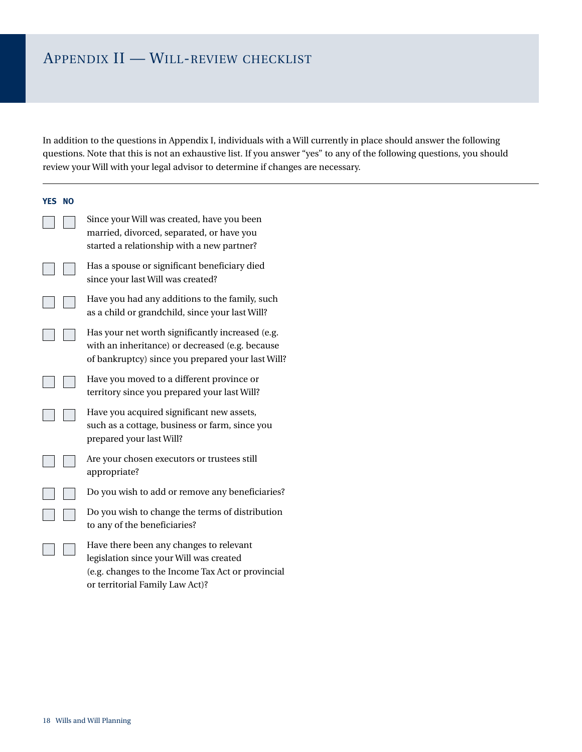## Appendix II — Will-review checklist

In addition to the questions in Appendix I, individuals with a Will currently in place should answer the following questions. Note that this is not an exhaustive list. If you answer "yes" to any of the following questions, you should review your Will with your legal advisor to determine if changes are necessary.

| YES NO |                                                                                                                                                                            |
|--------|----------------------------------------------------------------------------------------------------------------------------------------------------------------------------|
|        | Since your Will was created, have you been<br>married, divorced, separated, or have you<br>started a relationship with a new partner?                                      |
|        | Has a spouse or significant beneficiary died<br>since your last Will was created?                                                                                          |
|        | Have you had any additions to the family, such<br>as a child or grandchild, since your last Will?                                                                          |
|        | Has your net worth significantly increased (e.g.<br>with an inheritance) or decreased (e.g. because<br>of bankruptcy) since you prepared your last Will?                   |
|        | Have you moved to a different province or<br>territory since you prepared your last Will?                                                                                  |
|        | Have you acquired significant new assets,<br>such as a cottage, business or farm, since you<br>prepared your last Will?                                                    |
|        | Are your chosen executors or trustees still<br>appropriate?                                                                                                                |
|        | Do you wish to add or remove any beneficiaries?                                                                                                                            |
|        | Do you wish to change the terms of distribution<br>to any of the beneficiaries?                                                                                            |
|        | Have there been any changes to relevant<br>legislation since your Will was created<br>(e.g. changes to the Income Tax Act or provincial<br>or territorial Family Law Act)? |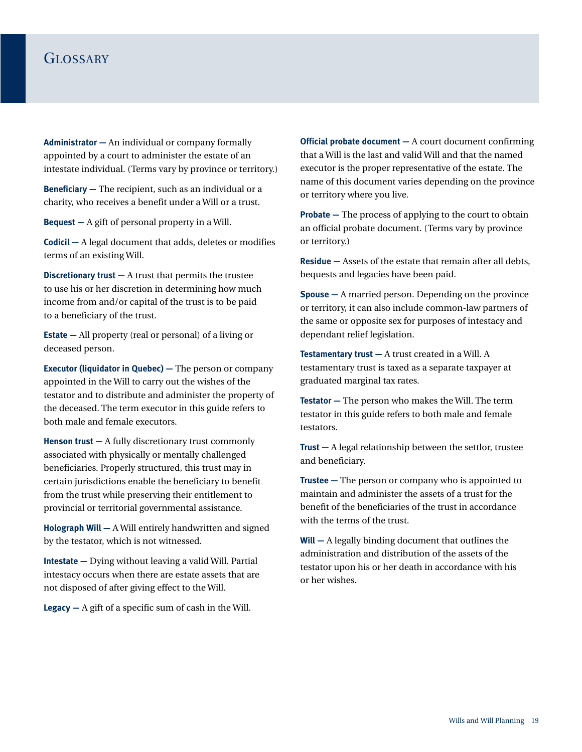### GLOSSARY

**Administrator —** An individual or company formally appointed by a court to administer the estate of an intestate individual. (Terms vary by province or territory.)

**Beneficiary –** The recipient, such as an individual or a charity, who receives a benefit under a Will or a trust.

**Bequest —** A gift of personal property in a Will.

**Codicil —** A legal document that adds, deletes or modifies terms of an existing Will.

**Discretionary trust —** A trust that permits the trustee to use his or her discretion in determining how much income from and/or capital of the trust is to be paid to a beneficiary of the trust.

**Estate —** All property (real or personal) of a living or deceased person.

**Executor (liquidator in Quebec) — The person or company** appointed in the Will to carry out the wishes of the testator and to distribute and administer the property of the deceased. The term executor in this guide refers to both male and female executors.

**Henson trust —** A fully discretionary trust commonly associated with physically or mentally challenged beneficiaries. Properly structured, this trust may in certain jurisdictions enable the beneficiary to benefit from the trust while preserving their entitlement to provincial or territorial governmental assistance.

**Holograph Will —** A Will entirely handwritten and signed by the testator, which is not witnessed.

**Intestate —** Dying without leaving a valid Will. Partial intestacy occurs when there are estate assets that are not disposed of after giving effect to the Will.

**Legacy —** A gift of a specific sum of cash in the Will.

**Official probate document —** A court document confirming that a Will is the last and valid Will and that the named executor is the proper representative of the estate. The name of this document varies depending on the province or territory where you live.

**Probate —** The process of applying to the court to obtain an official probate document. (Terms vary by province or territory.)

**Residue —** Assets of the estate that remain after all debts, bequests and legacies have been paid.

**Spouse —** A married person. Depending on the province or territory, it can also include common-law partners of the same or opposite sex for purposes of intestacy and dependant relief legislation.

**Testamentary trust —** A trust created in a Will. A testamentary trust is taxed as a separate taxpayer at graduated marginal tax rates.

**Testator —** The person who makes the Will. The term testator in this guide refers to both male and female testators.

**Trust —** A legal relationship between the settlor, trustee and beneficiary.

**Trustee —** The person or company who is appointed to maintain and administer the assets of a trust for the benefit of the beneficiaries of the trust in accordance with the terms of the trust.

**Will —** A legally binding document that outlines the administration and distribution of the assets of the testator upon his or her death in accordance with his or her wishes.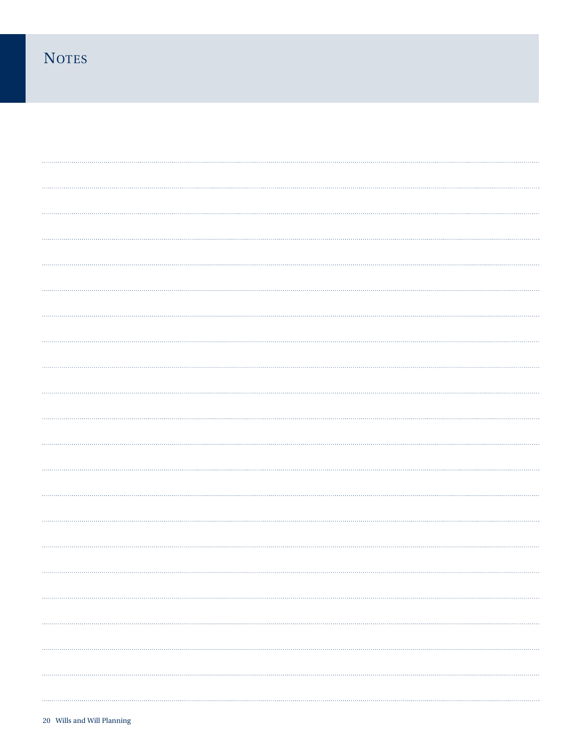## **NOTES**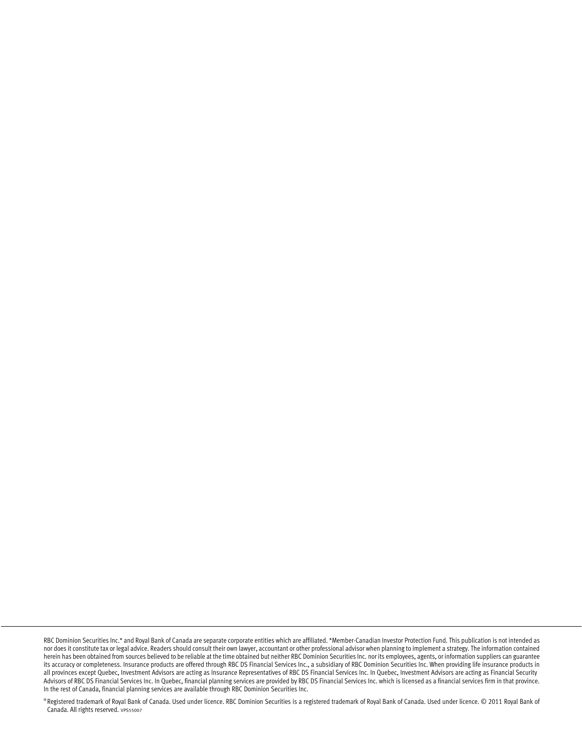® Registered trademark of Royal Bank of Canada. Used under licence. RBC Dominion Securities is a registered trademark of Royal Bank of Canada. Used under licence. © 2011 Royal Bank of Canada. All rights reserved. vPS55007

RBC Dominion Securities Inc.\* and Royal Bank of Canada are separate corporate entities which are affiliated. \*Member-Canadian Investor Protection Fund. This publication is not intended as nor does it constitute tax or legal advice. Readers should consult their own lawyer, accountant or other professional advisor when planning to implement a strategy. The information contained herein has been obtained from sources believed to be reliable at the time obtained but neither RBC Dominion Securities Inc. nor its employees, agents, or information suppliers can guarantee its accuracy or completeness. Insurance products are offered through RBC DS Financial Services Inc., a subsidiary of RBC Dominion Securities Inc. When providing life insurance products in all provinces except Quebec, Investment Advisors are acting as Insurance Representatives of RBC DS Financial Services Inc. In Quebec, Investment Advisors are acting as Financial Security Advisors of RBC DS Financial Services Inc. In Quebec, financial planning services are provided by RBC DS Financial Services Inc. which is licensed as a financial services firm in that province. In the rest of Canada, financial planning services are available through RBC Dominion Securities Inc.